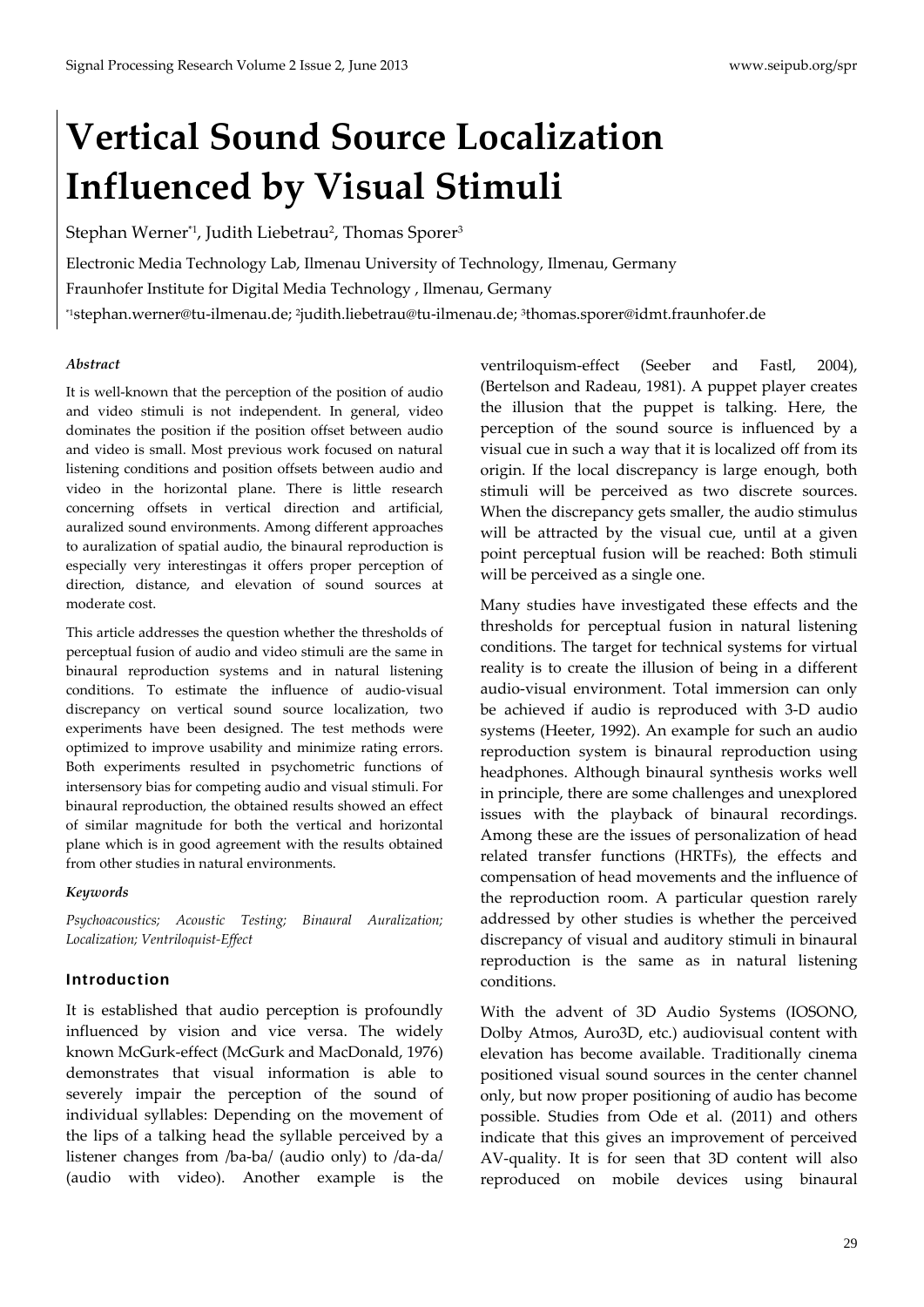# **Vertical Sound Source Localization Influenced by Visual Stimuli**

Stephan Werner\*1, Judith Liebetrau<sup>2</sup>, Thomas Sporer<sup>3</sup>

Electronic Media Technology Lab, Ilmenau University of Technology, Ilmenau, Germany

Fraunhofer Institute for Digital Media Technology , Ilmenau, Germany

\*1stephan.werner@tu‐ilmenau.de; 2judith.liebetrau@tu‐ilmenau.de; 3thomas.sporer@idmt.fraunhofer.de

#### *Abstract*

It is well-known that the perception of the position of audio and video stimuli is not independent. In general, video dominates the position if the position offset between audio and video is small. Most previous work focused on natural listening conditions and position offsets between audio and video in the horizontal plane. There is little research concerning offsets in vertical direction and artificial, auralized sound environments. Among different approaches to auralization of spatial audio, the binaural reproduction is especially very interestingas it offers proper perception of direction, distance, and elevation of sound sources at moderate cost.

This article addresses the question whether the thresholds of perceptual fusion of audio and video stimuli are the same in binaural reproduction systems and in natural listening conditions. To estimate the influence of audio‐visual discrepancy on vertical sound source localization, two experiments have been designed. The test methods were optimized to improve usability and minimize rating errors. Both experiments resulted in psychometric functions of intersensory bias for competing audio and visual stimuli. For binaural reproduction, the obtained results showed an effect of similar magnitude for both the vertical and horizontal plane which is in good agreement with the results obtained from other studies in natural environments.

#### *Keywords*

*Psychoacoustics; Acoustic Testing; Binaural Auralization; Localization; Ventriloquist‐Effect* 

#### Introduction

It is established that audio perception is profoundly influenced by vision and vice versa. The widely known McGurk‐effect (McGurk and MacDonald, 1976) demonstrates that visual information is able to severely impair the perception of the sound of individual syllables: Depending on the movement of the lips of a talking head the syllable perceived by a listener changes from /ba‐ba/ (audio only) to /da‐da/ (audio with video). Another example is the

ventriloquism‐effect (Seeber and Fastl, 2004), (Bertelson and Radeau, 1981). A puppet player creates the illusion that the puppet is talking. Here, the perception of the sound source is influenced by a visual cue in such a way that it is localized off from its origin. If the local discrepancy is large enough, both stimuli will be perceived as two discrete sources. When the discrepancy gets smaller, the audio stimulus will be attracted by the visual cue, until at a given point perceptual fusion will be reached: Both stimuli will be perceived as a single one.

Many studies have investigated these effects and the thresholds for perceptual fusion in natural listening conditions. The target for technical systems for virtual reality is to create the illusion of being in a different audio‐visual environment. Total immersion can only be achieved if audio is reproduced with 3‐D audio systems (Heeter, 1992). An example for such an audio reproduction system is binaural reproduction using headphones. Although binaural synthesis works well in principle, there are some challenges and unexplored issues with the playback of binaural recordings. Among these are the issues of personalization of head related transfer functions (HRTFs), the effects and compensation of head movements and the influence of the reproduction room. A particular question rarely addressed by other studies is whether the perceived discrepancy of visual and auditory stimuli in binaural reproduction is the same as in natural listening conditions.

With the advent of 3D Audio Systems (IOSONO, Dolby Atmos, Auro3D, etc.) audiovisual content with elevation has become available. Traditionally cinema positioned visual sound sources in the center channel only, but now proper positioning of audio has become possible. Studies from Ode et al. (2011) and others indicate that this gives an improvement of perceived AV‐quality. It is for seen that 3D content will also reproduced on mobile devices using binaural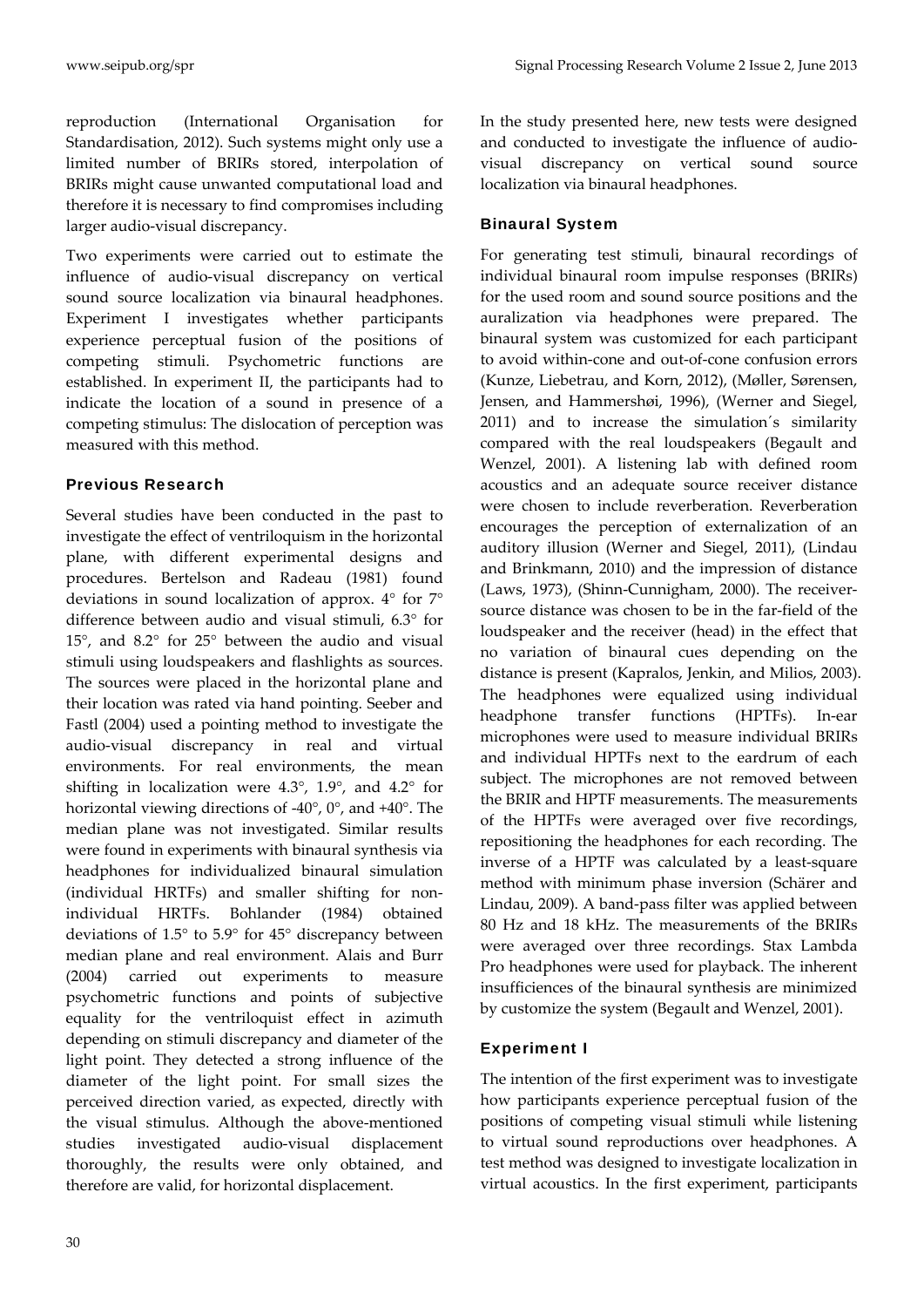reproduction (International Organisation for Standardisation, 2012). Such systems might only use a limited number of BRIRs stored, interpolation of BRIRs might cause unwanted computational load and therefore it is necessary to find compromises including larger audio‐visual discrepancy.

Two experiments were carried out to estimate the influence of audio‐visual discrepancy on vertical sound source localization via binaural headphones. Experiment I investigates whether participants experience perceptual fusion of the positions of competing stimuli. Psychometric functions are established. In experiment II, the participants had to indicate the location of a sound in presence of a competing stimulus: The dislocation of perception was measured with this method.

## Previous Research

Several studies have been conducted in the past to investigate the effect of ventriloquism in the horizontal plane, with different experimental designs and procedures. Bertelson and Radeau (1981) found deviations in sound localization of approx. 4° for 7° difference between audio and visual stimuli, 6.3° for 15°, and 8.2° for 25° between the audio and visual stimuli using loudspeakers and flashlights as sources. The sources were placed in the horizontal plane and their location was rated via hand pointing. Seeber and Fastl (2004) used a pointing method to investigate the audio‐visual discrepancy in real and virtual environments. For real environments, the mean shifting in localization were 4.3°, 1.9°, and 4.2° for horizontal viewing directions of ‐40°, 0°, and +40°. The median plane was not investigated. Similar results were found in experiments with binaural synthesis via headphones for individualized binaural simulation (individual HRTFs) and smaller shifting for non‐ individual HRTFs. Bohlander (1984) obtained deviations of 1.5° to 5.9° for 45° discrepancy between median plane and real environment. Alais and Burr (2004) carried out experiments to measure psychometric functions and points of subjective equality for the ventriloquist effect in azimuth depending on stimuli discrepancy and diameter of the light point. They detected a strong influence of the diameter of the light point. For small sizes the perceived direction varied, as expected, directly with the visual stimulus. Although the above-mentioned studies investigated audio‐visual displacement thoroughly, the results were only obtained, and therefore are valid, for horizontal displacement.

In the study presented here, new tests were designed and conducted to investigate the influence of audio‐ visual discrepancy on vertical sound source localization via binaural headphones.

# Binaural System

For generating test stimuli, binaural recordings of individual binaural room impulse responses (BRIRs) for the used room and sound source positions and the auralization via headphones were prepared. The binaural system was customized for each participant to avoid within‐cone and out‐of‐cone confusion errors (Kunze, Liebetrau, and Korn, 2012), (Møller, Sørensen, Jensen, and Hammershøi, 1996), (Werner and Siegel, 2011) and to increase the simulation´s similarity compared with the real loudspeakers (Begault and Wenzel, 2001). A listening lab with defined room acoustics and an adequate source receiver distance were chosen to include reverberation. Reverberation encourages the perception of externalization of an auditory illusion (Werner and Siegel, 2011), (Lindau and Brinkmann, 2010) and the impression of distance (Laws, 1973), (Shinn‐Cunnigham, 2000). The receiver‐ source distance was chosen to be in the far-field of the loudspeaker and the receiver (head) in the effect that no variation of binaural cues depending on the distance is present (Kapralos, Jenkin, and Milios, 2003). The headphones were equalized using individual headphone transfer functions (HPTFs). In‐ear microphones were used to measure individual BRIRs and individual HPTFs next to the eardrum of each subject. The microphones are not removed between the BRIR and HPTF measurements. The measurements of the HPTFs were averaged over five recordings, repositioning the headphones for each recording. The inverse of a HPTF was calculated by a least-square method with minimum phase inversion (Schärer and Lindau, 2009). A band‐pass filter was applied between 80 Hz and 18 kHz. The measurements of the BRIRs were averaged over three recordings. Stax Lambda Pro headphones were used for playback. The inherent insufficiences of the binaural synthesis are minimized by customize the system (Begault and Wenzel, 2001).

# Experiment I

The intention of the first experiment was to investigate how participants experience perceptual fusion of the positions of competing visual stimuli while listening to virtual sound reproductions over headphones. A test method was designed to investigate localization in virtual acoustics. In the first experiment, participants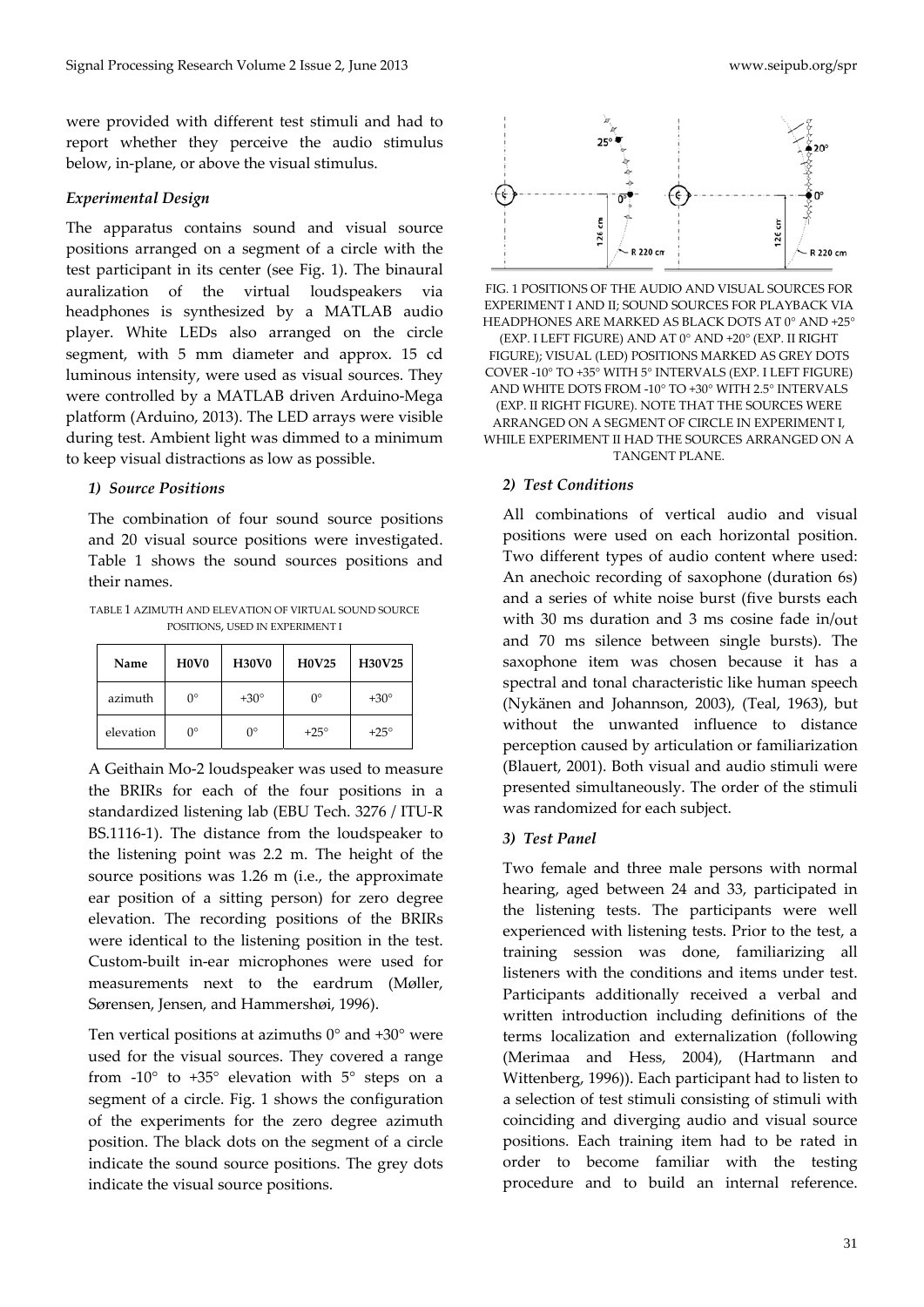were provided with different test stimuli and had to report whether they perceive the audio stimulus below, in‐plane, or above the visual stimulus.

#### *Experimental Design*

The apparatus contains sound and visual source positions arranged on a segment of a circle with the test participant in its center (see Fig. 1). The binaural auralization of the virtual loudspeakers via headphones is synthesized by a MATLAB audio player. White LEDs also arranged on the circle segment, with 5 mm diameter and approx. 15 cd luminous intensity, were used as visual sources. They were controlled by a MATLAB driven Arduino‐Mega platform (Arduino, 2013). The LED arrays were visible during test. Ambient light was dimmed to a minimum to keep visual distractions as low as possible.

#### *1) Source Positions*

The combination of four sound source positions and 20 visual source positions were investigated. Table 1 shows the sound sources positions and their names.

TABLE 1 AZIMUTH AND ELEVATION OF VIRTUAL SOUND SOURCE POSITIONS, USED IN EXPERIMENT I

| Name      | H <sub>0</sub> V <sub>0</sub> | <b>H30V0</b> | <b>H0V25</b> | H30V25      |
|-----------|-------------------------------|--------------|--------------|-------------|
| azimuth   | $0^{\circ}$                   | $+30^\circ$  | O°           | $+30^\circ$ |
| elevation | ∩°                            | Ω°           | $+25^\circ$  | $+25^\circ$ |

A Geithain Mo‐2 loudspeaker was used to measure the BRIRs for each of the four positions in a standardized listening lab (EBU Tech. 3276 / ITU‐R BS.1116‐1). The distance from the loudspeaker to the listening point was 2.2 m. The height of the source positions was 1.26 m (i.e., the approximate ear position of a sitting person) for zero degree elevation. The recording positions of the BRIRs were identical to the listening position in the test. Custom‐built in‐ear microphones were used for measurements next to the eardrum (Møller, Sørensen, Jensen, and Hammershøi, 1996).

Ten vertical positions at azimuths  $0^{\circ}$  and  $+30^{\circ}$  were used for the visual sources. They covered a range from  $-10^{\circ}$  to  $+35^{\circ}$  elevation with  $5^{\circ}$  steps on a segment of a circle. Fig. 1 shows the configuration of the experiments for the zero degree azimuth position. The black dots on the segment of a circle indicate the sound source positions. The grey dots indicate the visual source positions.



FIG. 1 POSITIONS OF THE AUDIO AND VISUAL SOURCES FOR EXPERIMENT I AND II; SOUND SOURCES FOR PLAYBACK VIA HEADPHONES ARE MARKED AS BLACK DOTS AT 0° AND +25° (EXP. I LEFT FIGURE) AND AT 0° AND +20° (EXP. II RIGHT FIGURE); VISUAL (LED) POSITIONS MARKED AS GREY DOTS COVER ‐10° TO +35° WITH 5° INTERVALS (EXP. I LEFT FIGURE) AND WHITE DOTS FROM ‐10° TO +30° WITH 2.5° INTERVALS (EXP. II RIGHT FIGURE). NOTE THAT THE SOURCES WERE ARRANGED ON A SEGMENT OF CIRCLE IN EXPERIMENT I, WHILE EXPERIMENT II HAD THE SOURCES ARRANGED ON A TANGENT PLANE.

#### *2) Test Conditions*

All combinations of vertical audio and visual positions were used on each horizontal position. Two different types of audio content where used: An anechoic recording of saxophone (duration 6s) and a series of white noise burst (five bursts each with 30 ms duration and 3 ms cosine fade in/out and 70 ms silence between single bursts). The saxophone item was chosen because it has a spectral and tonal characteristic like human speech (Nykänen and Johannson, 2003), (Teal, 1963), but without the unwanted influence to distance perception caused by articulation or familiarization (Blauert, 2001). Both visual and audio stimuli were presented simultaneously. The order of the stimuli was randomized for each subject.

#### *3) Test Panel*

Two female and three male persons with normal hearing, aged between 24 and 33, participated in the listening tests. The participants were well experienced with listening tests. Prior to the test, a training session was done, familiarizing all listeners with the conditions and items under test. Participants additionally received a verbal and written introduction including definitions of the terms localization and externalization (following (Merimaa and Hess, 2004), (Hartmann and Wittenberg, 1996)). Each participant had to listen to a selection of test stimuli consisting of stimuli with coinciding and diverging audio and visual source positions. Each training item had to be rated in order to become familiar with the testing procedure and to build an internal reference.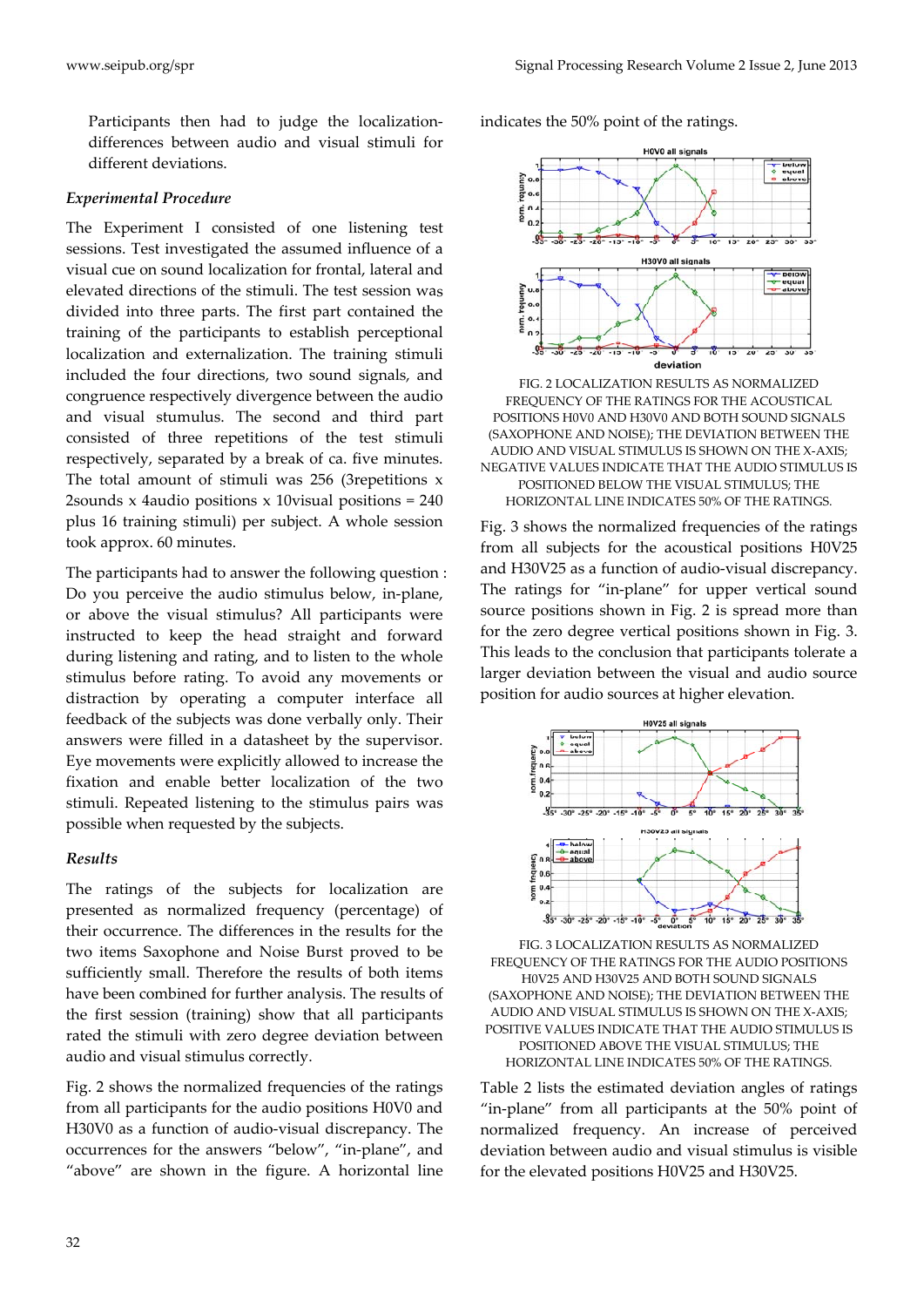Participants then had to judge the localization‐ differences between audio and visual stimuli for different deviations.

#### *Experimental Procedure*

The Experiment I consisted of one listening test sessions. Test investigated the assumed influence of a visual cue on sound localization for frontal, lateral and elevated directions of the stimuli. The test session was divided into three parts. The first part contained the training of the participants to establish perceptional localization and externalization. The training stimuli included the four directions, two sound signals, and congruence respectively divergence between the audio and visual stumulus. The second and third part consisted of three repetitions of the test stimuli respectively, separated by a break of ca. five minutes. The total amount of stimuli was 256 (3repetitions x 2sounds x 4audio positions  $x$  10 visual positions = 240 plus 16 training stimuli) per subject. A whole session took approx. 60 minutes.

The participants had to answer the following question : Do you perceive the audio stimulus below, in‐plane, or above the visual stimulus? All participants were instructed to keep the head straight and forward during listening and rating, and to listen to the whole stimulus before rating. To avoid any movements or distraction by operating a computer interface all feedback of the subjects was done verbally only. Their answers were filled in a datasheet by the supervisor. Eye movements were explicitly allowed to increase the fixation and enable better localization of the two stimuli. Repeated listening to the stimulus pairs was possible when requested by the subjects.

#### *Results*

The ratings of the subjects for localization are presented as normalized frequency (percentage) of their occurrence. The differences in the results for the two items Saxophone and Noise Burst proved to be sufficiently small. Therefore the results of both items have been combined for further analysis. The results of the first session (training) show that all participants rated the stimuli with zero degree deviation between audio and visual stimulus correctly.

Fig. 2 shows the normalized frequencies of the ratings from all participants for the audio positions H0V0 and H30V0 as a function of audio‐visual discrepancy. The occurrences for the answers "below", "in‐plane", and "above" are shown in the figure. A horizontal line indicates the 50% point of the ratings.



FIG. 2 LOCALIZATION RESULTS AS NORMALIZED FREQUENCY OF THE RATINGS FOR THE ACOUSTICAL POSITIONS H0V0 AND H30V0 AND BOTH SOUND SIGNALS (SAXOPHONE AND NOISE); THE DEVIATION BETWEEN THE AUDIO AND VISUAL STIMULUS IS SHOWN ON THE X‐AXIS; NEGATIVE VALUES INDICATE THAT THE AUDIO STIMULUS IS POSITIONED BELOW THE VISUAL STIMULUS; THE HORIZONTAL LINE INDICATES 50% OF THE RATINGS.

Fig. 3 shows the normalized frequencies of the ratings from all subjects for the acoustical positions H0V25 and H30V25 as a function of audio‐visual discrepancy. The ratings for "in-plane" for upper vertical sound source positions shown in Fig. 2 is spread more than for the zero degree vertical positions shown in Fig. 3. This leads to the conclusion that participants tolerate a larger deviation between the visual and audio source position for audio sources at higher elevation.



FIG. 3 LOCALIZATION RESULTS AS NORMALIZED FREQUENCY OF THE RATINGS FOR THE AUDIO POSITIONS H0V25 AND H30V25 AND BOTH SOUND SIGNALS (SAXOPHONE AND NOISE); THE DEVIATION BETWEEN THE AUDIO AND VISUAL STIMULUS IS SHOWN ON THE X‐AXIS; POSITIVE VALUES INDICATE THAT THE AUDIO STIMULUS IS POSITIONED ABOVE THE VISUAL STIMULUS; THE HORIZONTAL LINE INDICATES 50% OF THE RATINGS.

Table 2 lists the estimated deviation angles of ratings "in‐plane" from all participants at the 50% point of normalized frequency. An increase of perceived deviation between audio and visual stimulus is visible for the elevated positions H0V25 and H30V25.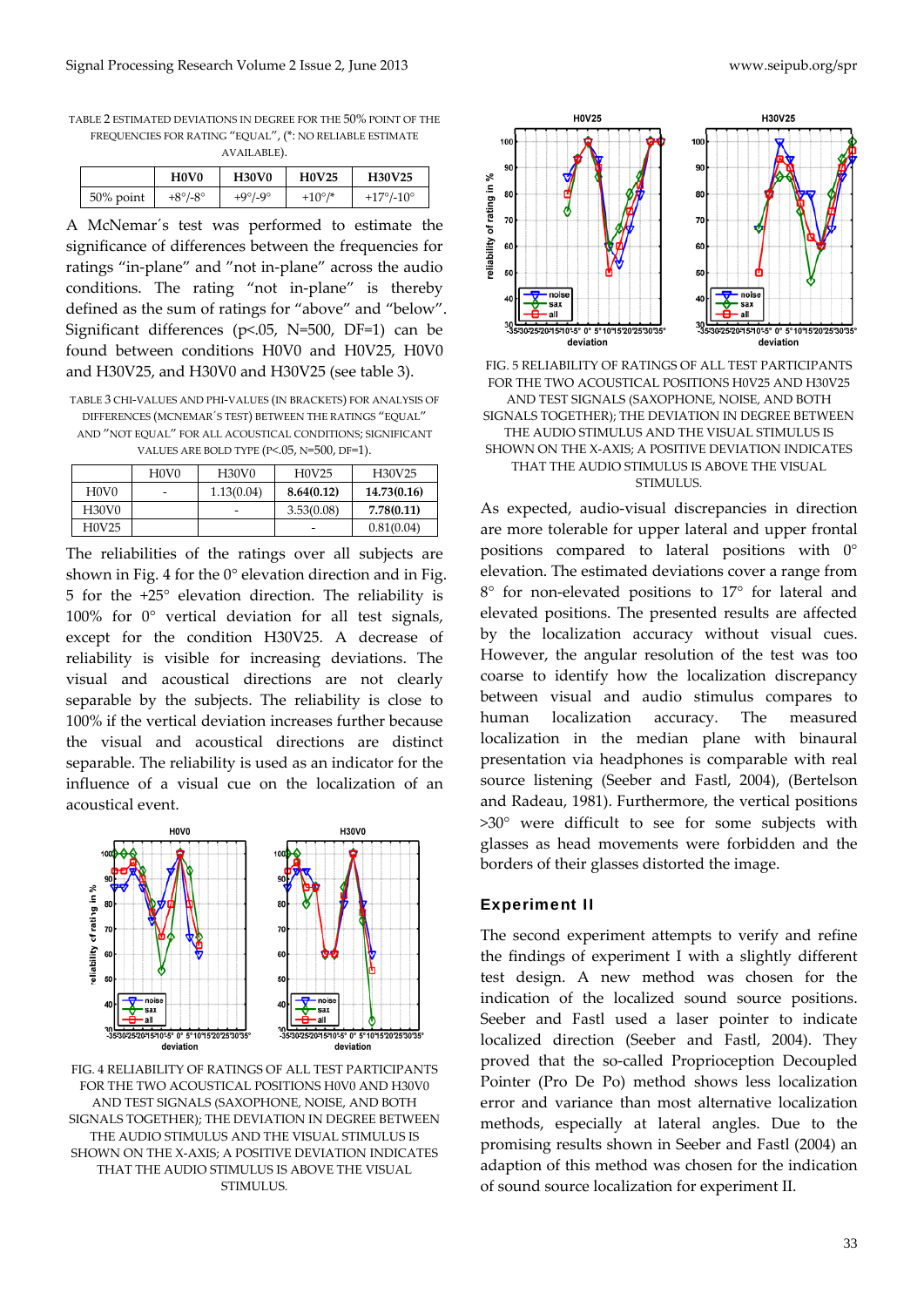TABLE 2 ESTIMATED DEVIATIONS IN DEGREE FOR THE 50% POINT OF THE FREQUENCIES FOR RATING "EQUAL", (\*: NO RELIABLE ESTIMATE

| AVAILABLE). |
|-------------|
|-------------|

|              | H <sub>0</sub> V <sub>0</sub> | <b>H30V0</b>       | <b>H0V25</b>     | <b>H30V25</b> |
|--------------|-------------------------------|--------------------|------------------|---------------|
| $50\%$ point | $+8^{\circ}/-8^{\circ}$       | $+9^\circ/9^\circ$ | $+10^{\circ}$ /* | +17°/-10°     |

A McNemar´s test was performed to estimate the significance of differences between the frequencies for ratings "in‐plane" and "not in‐plane" across the audio conditions. The rating "not in‐plane" is thereby defined as the sum of ratings for "above" and "below". Significant differences (p<.05, N=500, DF=1) can be found between conditions H0V0 and H0V25, H0V0 and H30V25, and H30V0 and H30V25 (see table 3).

TABLE 3 CHI‐VALUES AND PHI‐VALUES (IN BRACKETS) FOR ANALYSIS OF DIFFERENCES (MCNEMAR´S TEST) BETWEEN THE RATINGS "EQUAL" AND "NOT EQUAL" FOR ALL ACOUSTICAL CONDITIONS; SIGNIFICANT VALUES ARE BOLD TYPE (P<.05, N=500, DF=1).

|                                | H <sub>0</sub> V <sub>0</sub> | H <sub>30</sub> V <sub>0</sub> | H0V25      | H30V25      |
|--------------------------------|-------------------------------|--------------------------------|------------|-------------|
| H <sub>0</sub> V <sub>0</sub>  |                               | 1.13(0.04)                     | 8.64(0.12) | 14.73(0.16) |
| H <sub>30</sub> V <sub>0</sub> |                               |                                | 3.53(0.08) | 7.78(0.11)  |
| H <sub>0</sub> V <sub>25</sub> |                               |                                | -          | 0.81(0.04)  |

The reliabilities of the ratings over all subjects are shown in Fig. 4 for the  $0^{\circ}$  elevation direction and in Fig. 5 for the +25° elevation direction. The reliability is 100% for 0° vertical deviation for all test signals, except for the condition H30V25. A decrease of reliability is visible for increasing deviations. The visual and acoustical directions are not clearly separable by the subjects. The reliability is close to 100% if the vertical deviation increases further because the visual and acoustical directions are distinct separable. The reliability is used as an indicator for the influence of a visual cue on the localization of an acoustical event.



FIG. 4 RELIABILITY OF RATINGS OF ALL TEST PARTICIPANTS FOR THE TWO ACOUSTICAL POSITIONS H0V0 AND H30V0 AND TEST SIGNALS (SAXOPHONE, NOISE, AND BOTH SIGNALS TOGETHER); THE DEVIATION IN DEGREE BETWEEN THE AUDIO STIMULUS AND THE VISUAL STIMULUS IS SHOWN ON THE X‐AXIS; A POSITIVE DEVIATION INDICATES THAT THE AUDIO STIMULUS IS ABOVE THE VISUAL **STIMULUS** 



FIG. 5 RELIABILITY OF RATINGS OF ALL TEST PARTICIPANTS FOR THE TWO ACOUSTICAL POSITIONS H0V25 AND H30V25 AND TEST SIGNALS (SAXOPHONE, NOISE, AND BOTH SIGNALS TOGETHER); THE DEVIATION IN DEGREE BETWEEN THE AUDIO STIMULUS AND THE VISUAL STIMULUS IS SHOWN ON THE X-AXIS; A POSITIVE DEVIATION INDICATES THAT THE AUDIO STIMULUS IS ABOVE THE VISUAL STIMULUS.

As expected, audio‐visual discrepancies in direction are more tolerable for upper lateral and upper frontal positions compared to lateral positions with 0° elevation. The estimated deviations cover a range from 8° for non‐elevated positions to 17° for lateral and elevated positions. The presented results are affected by the localization accuracy without visual cues. However, the angular resolution of the test was too coarse to identify how the localization discrepancy between visual and audio stimulus compares to human localization accuracy. The measured localization in the median plane with binaural presentation via headphones is comparable with real source listening (Seeber and Fastl, 2004), (Bertelson and Radeau, 1981). Furthermore, the vertical positions >30° were difficult to see for some subjects with glasses as head movements were forbidden and the borders of their glasses distorted the image.

#### Experiment II

The second experiment attempts to verify and refine the findings of experiment I with a slightly different test design. A new method was chosen for the indication of the localized sound source positions. Seeber and Fastl used a laser pointer to indicate localized direction (Seeber and Fastl, 2004). They proved that the so-called Proprioception Decoupled Pointer (Pro De Po) method shows less localization error and variance than most alternative localization methods, especially at lateral angles. Due to the promising results shown in Seeber and Fastl (2004) an adaption of this method was chosen for the indication of sound source localization for experiment II.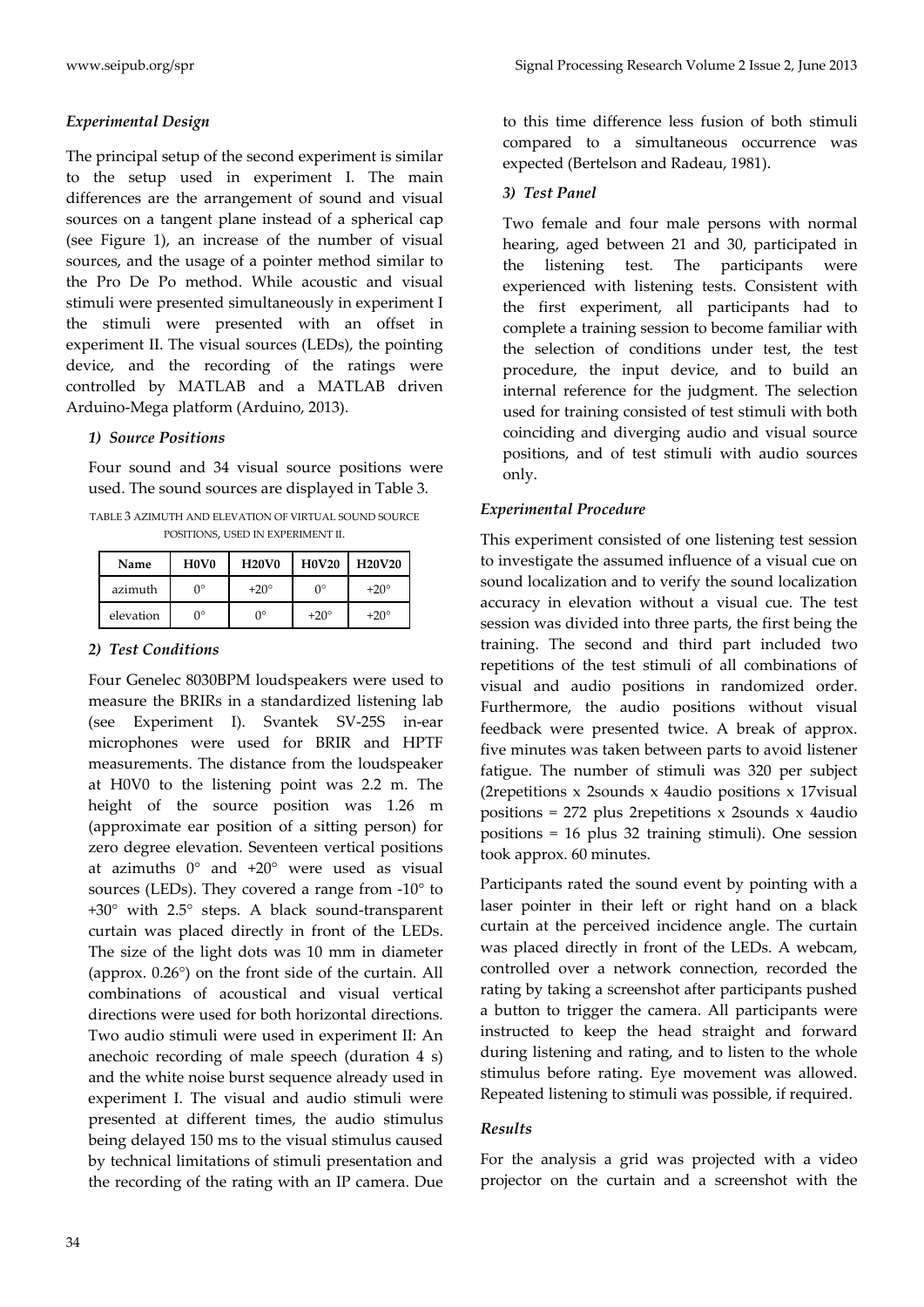## *Experimental Design*

The principal setup of the second experiment is similar to the setup used in experiment I. The main differences are the arrangement of sound and visual sources on a tangent plane instead of a spherical cap (see Figure 1), an increase of the number of visual sources, and the usage of a pointer method similar to the Pro De Po method. While acoustic and visual stimuli were presented simultaneously in experiment I the stimuli were presented with an offset in experiment II. The visual sources (LEDs), the pointing device, and the recording of the ratings were controlled by MATLAB and a MATLAB driven Arduino‐Mega platform (Arduino, 2013).

## *1) Source Positions*

Four sound and 34 visual source positions were used. The sound sources are displayed in Table 3.

TABLE 3 AZIMUTH AND ELEVATION OF VIRTUAL SOUND SOURCE POSITIONS, USED IN EXPERIMENT II.

| Name      | H <sub>0</sub> V <sub>0</sub> | <b>H20V0</b> | <b>H0V20</b> | <b>H20V20</b> |
|-----------|-------------------------------|--------------|--------------|---------------|
| azimuth   | $0^{\circ}$                   | $+20^\circ$  | ∩∘           | $+20^\circ$   |
| elevation | $0^{\circ}$                   | n۰           | $+20^\circ$  | $+20^\circ$   |

## *2) Test Conditions*

Four Genelec 8030BPM loudspeakers were used to measure the BRIRs in a standardized listening lab (see Experiment I). Svantek SV‐25S in‐ear microphones were used for BRIR and HPTF measurements. The distance from the loudspeaker at H0V0 to the listening point was 2.2 m. The height of the source position was 1.26 m (approximate ear position of a sitting person) for zero degree elevation. Seventeen vertical positions at azimuths 0° and +20° were used as visual sources (LEDs). They covered a range from  $-10^{\circ}$  to +30° with 2.5° steps. A black sound‐transparent curtain was placed directly in front of the LEDs. The size of the light dots was 10 mm in diameter (approx. 0.26°) on the front side of the curtain. All combinations of acoustical and visual vertical directions were used for both horizontal directions. Two audio stimuli were used in experiment II: An anechoic recording of male speech (duration 4 s) and the white noise burst sequence already used in experiment I. The visual and audio stimuli were presented at different times, the audio stimulus being delayed 150 ms to the visual stimulus caused by technical limitations of stimuli presentation and the recording of the rating with an IP camera. Due

to this time difference less fusion of both stimuli compared to a simultaneous occurrence was expected (Bertelson and Radeau, 1981).

## *3) Test Panel*

Two female and four male persons with normal hearing, aged between 21 and 30, participated in the listening test. The participants were experienced with listening tests. Consistent with the first experiment, all participants had to complete a training session to become familiar with the selection of conditions under test, the test procedure, the input device, and to build an internal reference for the judgment. The selection used for training consisted of test stimuli with both coinciding and diverging audio and visual source positions, and of test stimuli with audio sources only.

## *Experimental Procedure*

This experiment consisted of one listening test session to investigate the assumed influence of a visual cue on sound localization and to verify the sound localization accuracy in elevation without a visual cue. The test session was divided into three parts, the first being the training. The second and third part included two repetitions of the test stimuli of all combinations of visual and audio positions in randomized order. Furthermore, the audio positions without visual feedback were presented twice. A break of approx. five minutes was taken between parts to avoid listener fatigue. The number of stimuli was 320 per subject (2repetitions x 2sounds x 4audio positions x 17visual positions = 272 plus 2repetitions x 2sounds x 4audio positions = 16 plus 32 training stimuli). One session took approx. 60 minutes.

Participants rated the sound event by pointing with a laser pointer in their left or right hand on a black curtain at the perceived incidence angle. The curtain was placed directly in front of the LEDs. A webcam, controlled over a network connection, recorded the rating by taking a screenshot after participants pushed a button to trigger the camera. All participants were instructed to keep the head straight and forward during listening and rating, and to listen to the whole stimulus before rating. Eye movement was allowed. Repeated listening to stimuli was possible, if required.

# *Results*

For the analysis a grid was projected with a video projector on the curtain and a screenshot with the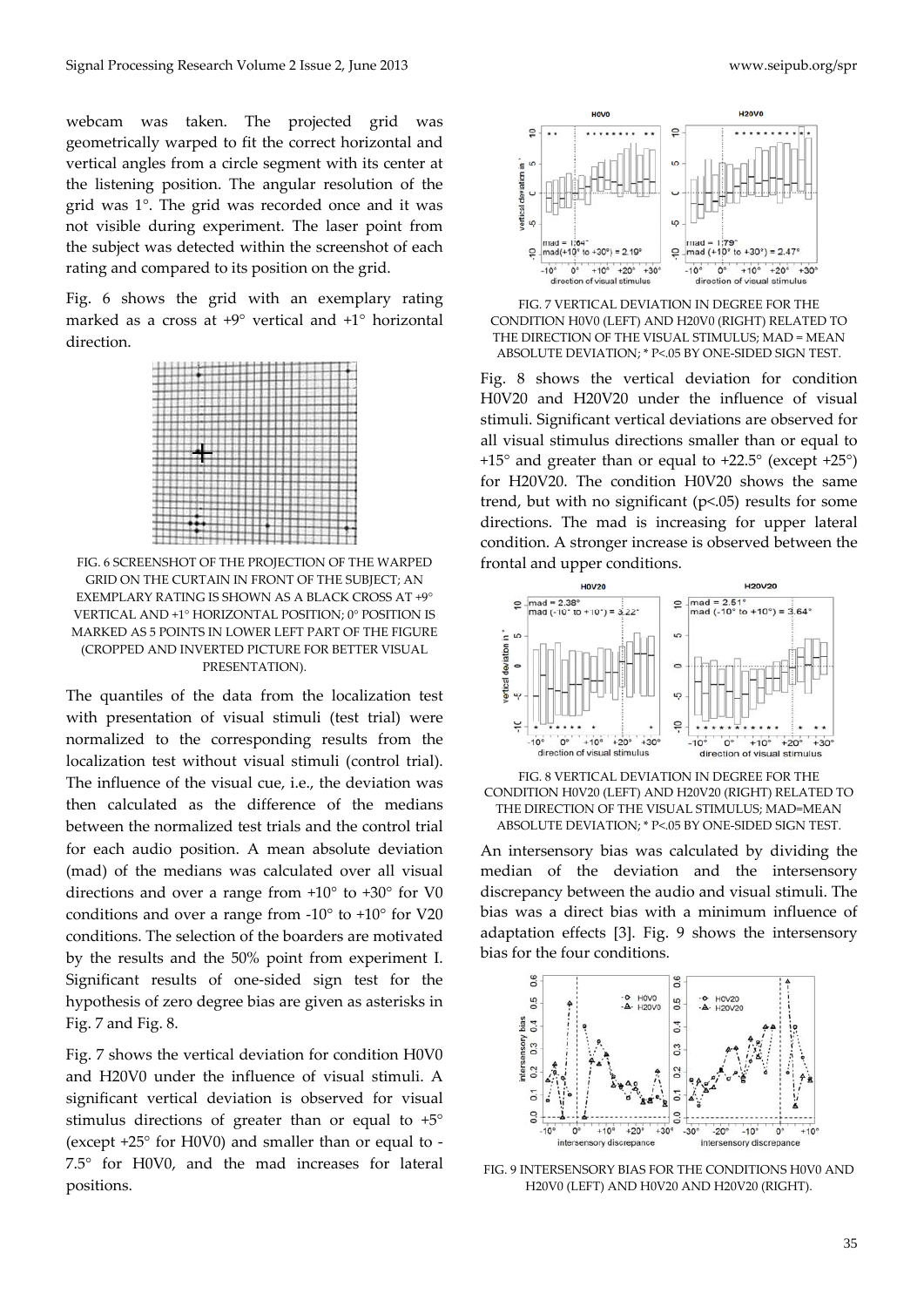webcam was taken. The projected grid was geometrically warped to fit the correct horizontal and vertical angles from a circle segment with its center at the listening position. The angular resolution of the grid was 1°. The grid was recorded once and it was not visible during experiment. The laser point from the subject was detected within the screenshot of each rating and compared to its position on the grid.

Fig. 6 shows the grid with an exemplary rating marked as a cross at +9° vertical and +1° horizontal direction.



FIG. 6 SCREENSHOT OF THE PROJECTION OF THE WARPED GRID ON THE CURTAIN IN FRONT OF THE SUBJECT; AN EXEMPLARY RATING IS SHOWN AS A BLACK CROSS AT +9° VERTICAL AND +1° HORIZONTAL POSITION; 0° POSITION IS MARKED AS 5 POINTS IN LOWER LEFT PART OF THE FIGURE (CROPPED AND INVERTED PICTURE FOR BETTER VISUAL PRESENTATION).

The quantiles of the data from the localization test with presentation of visual stimuli (test trial) were normalized to the corresponding results from the localization test without visual stimuli (control trial). The influence of the visual cue, i.e., the deviation was then calculated as the difference of the medians between the normalized test trials and the control trial for each audio position. A mean absolute deviation (mad) of the medians was calculated over all visual directions and over a range from +10° to +30° for V0 conditions and over a range from ‐10° to +10° for V20 conditions. The selection of the boarders are motivated by the results and the 50% point from experiment I. Significant results of one‐sided sign test for the hypothesis of zero degree bias are given as asterisks in Fig. 7 and Fig. 8.

Fig. 7 shows the vertical deviation for condition H0V0 and H20V0 under the influence of visual stimuli. A significant vertical deviation is observed for visual stimulus directions of greater than or equal to +5° (except +25° for H0V0) and smaller than or equal to ‐ 7.5° for H0V0, and the mad increases for lateral positions.



FIG. 7 VERTICAL DEVIATION IN DEGREE FOR THE CONDITION H0V0 (LEFT) AND H20V0 (RIGHT) RELATED TO THE DIRECTION OF THE VISUAL STIMULUS; MAD = MEAN ABSOLUTE DEVIATION; \* P<.05 BY ONE‐SIDED SIGN TEST.

Fig. 8 shows the vertical deviation for condition H0V20 and H20V20 under the influence of visual stimuli. Significant vertical deviations are observed for all visual stimulus directions smaller than or equal to +15° and greater than or equal to +22.5° (except +25°) for H20V20. The condition H0V20 shows the same trend, but with no significant (p<.05) results for some directions. The mad is increasing for upper lateral condition. A stronger increase is observed between the frontal and upper conditions.



FIG. 8 VERTICAL DEVIATION IN DEGREE FOR THE CONDITION H0V20 (LEFT) AND H20V20 (RIGHT) RELATED TO THE DIRECTION OF THE VISUAL STIMULUS; MAD=MEAN ABSOLUTE DEVIATION; \* P<.05 BY ONE‐SIDED SIGN TEST.

An intersensory bias was calculated by dividing the median of the deviation and the intersensory discrepancy between the audio and visual stimuli. The bias was a direct bias with a minimum influence of adaptation effects [3]. Fig. 9 shows the intersensory bias for the four conditions.



FIG. 9 INTERSENSORY BIAS FOR THE CONDITIONS H0V0 AND H20V0 (LEFT) AND H0V20 AND H20V20 (RIGHT).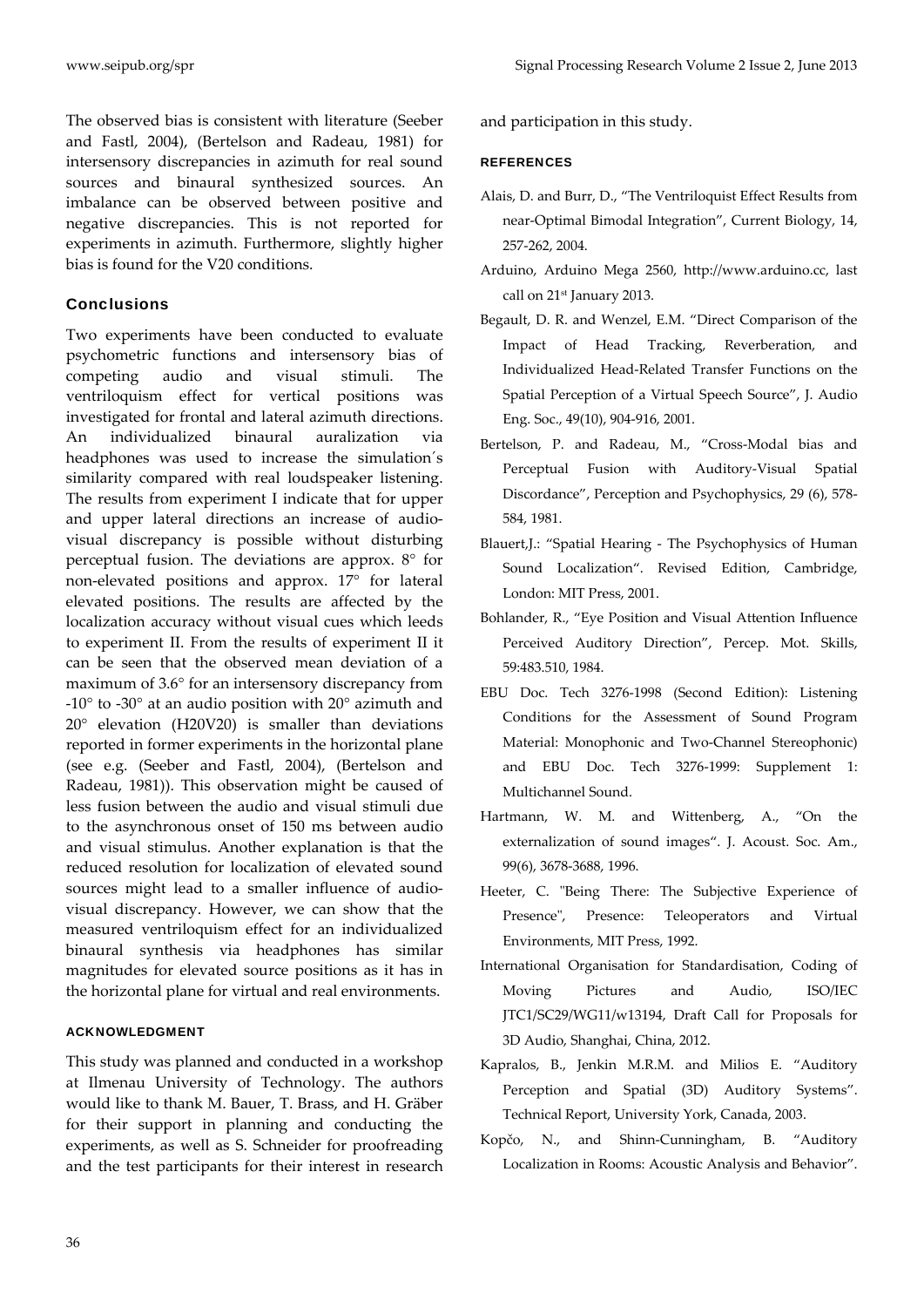The observed bias is consistent with literature (Seeber and Fastl, 2004), (Bertelson and Radeau, 1981) for intersensory discrepancies in azimuth for real sound sources and binaural synthesized sources. An imbalance can be observed between positive and negative discrepancies. This is not reported for experiments in azimuth. Furthermore, slightly higher bias is found for the V20 conditions.

### **Conclusions**

Two experiments have been conducted to evaluate psychometric functions and intersensory bias of competing audio and visual stimuli. The ventriloquism effect for vertical positions was investigated for frontal and lateral azimuth directions. An individualized binaural auralization via headphones was used to increase the simulation´s similarity compared with real loudspeaker listening. The results from experiment I indicate that for upper and upper lateral directions an increase of audio‐ visual discrepancy is possible without disturbing perceptual fusion. The deviations are approx. 8° for non‐elevated positions and approx. 17° for lateral elevated positions. The results are affected by the localization accuracy without visual cues which leeds to experiment II. From the results of experiment II it can be seen that the observed mean deviation of a maximum of 3.6° for an intersensory discrepancy from ‐10° to ‐30° at an audio position with 20° azimuth and 20° elevation (H20V20) is smaller than deviations reported in former experiments in the horizontal plane (see e.g. (Seeber and Fastl, 2004), (Bertelson and Radeau, 1981)). This observation might be caused of less fusion between the audio and visual stimuli due to the asynchronous onset of 150 ms between audio and visual stimulus. Another explanation is that the reduced resolution for localization of elevated sound sources might lead to a smaller influence of audiovisual discrepancy. However, we can show that the measured ventriloquism effect for an individualized binaural synthesis via headphones has similar magnitudes for elevated source positions as it has in the horizontal plane for virtual and real environments.

## ACKNOWLEDGMENT

This study was planned and conducted in a workshop at Ilmenau University of Technology. The authors would like to thank M. Bauer, T. Brass, and H. Gräber for their support in planning and conducting the experiments, as well as S. Schneider for proofreading and the test participants for their interest in research and participation in this study.

#### **REFERENCES**

- Alais, D. and Burr, D., "The Ventriloquist Effect Results from near‐Optimal Bimodal Integration", Current Biology, 14, 257‐262, 2004.
- Arduino, Arduino Mega 2560, http://www.arduino.cc, last call on 21st January 2013.
- Begault, D. R. and Wenzel, E.M. "Direct Comparison of the Impact of Head Tracking, Reverberation, and Individualized Head‐Related Transfer Functions on the Spatial Perception of a Virtual Speech Source", J. Audio Eng. Soc., 49(10), 904‐916, 2001.
- Bertelson, P. and Radeau, M., "Cross‐Modal bias and Perceptual Fusion with Auditory‐Visual Spatial Discordance", Perception and Psychophysics, 29 (6), 578‐ 584, 1981.
- Blauert,J.: "Spatial Hearing ‐ The Psychophysics of Human Sound Localization". Revised Edition, Cambridge, London: MIT Press, 2001.
- Bohlander, R., "Eye Position and Visual Attention Influence Perceived Auditory Direction", Percep. Mot. Skills, 59:483.510, 1984.
- EBU Doc. Tech 3276‐1998 (Second Edition): Listening Conditions for the Assessment of Sound Program Material: Monophonic and Two‐Channel Stereophonic) and EBU Doc. Tech 3276‐1999: Supplement 1: Multichannel Sound.
- Hartmann, W. M. and Wittenberg, A., "On the externalization of sound images". J. Acoust. Soc. Am., 99(6), 3678‐3688, 1996.
- Heeter, C. "Being There: The Subjective Experience of Presence", Presence: Teleoperators and Virtual Environments, MIT Press, 1992.
- International Organisation for Standardisation, Coding of Moving Pictures and Audio, ISO/IEC JTC1/SC29/WG11/w13194, Draft Call for Proposals for 3D Audio, Shanghai, China, 2012.
- Kapralos, B., Jenkin M.R.M. and Milios E. "Auditory Perception and Spatial (3D) Auditory Systems". Technical Report, University York, Canada, 2003.
- Kopčo, N., and Shinn‐Cunningham, B. "Auditory Localization in Rooms: Acoustic Analysis and Behavior".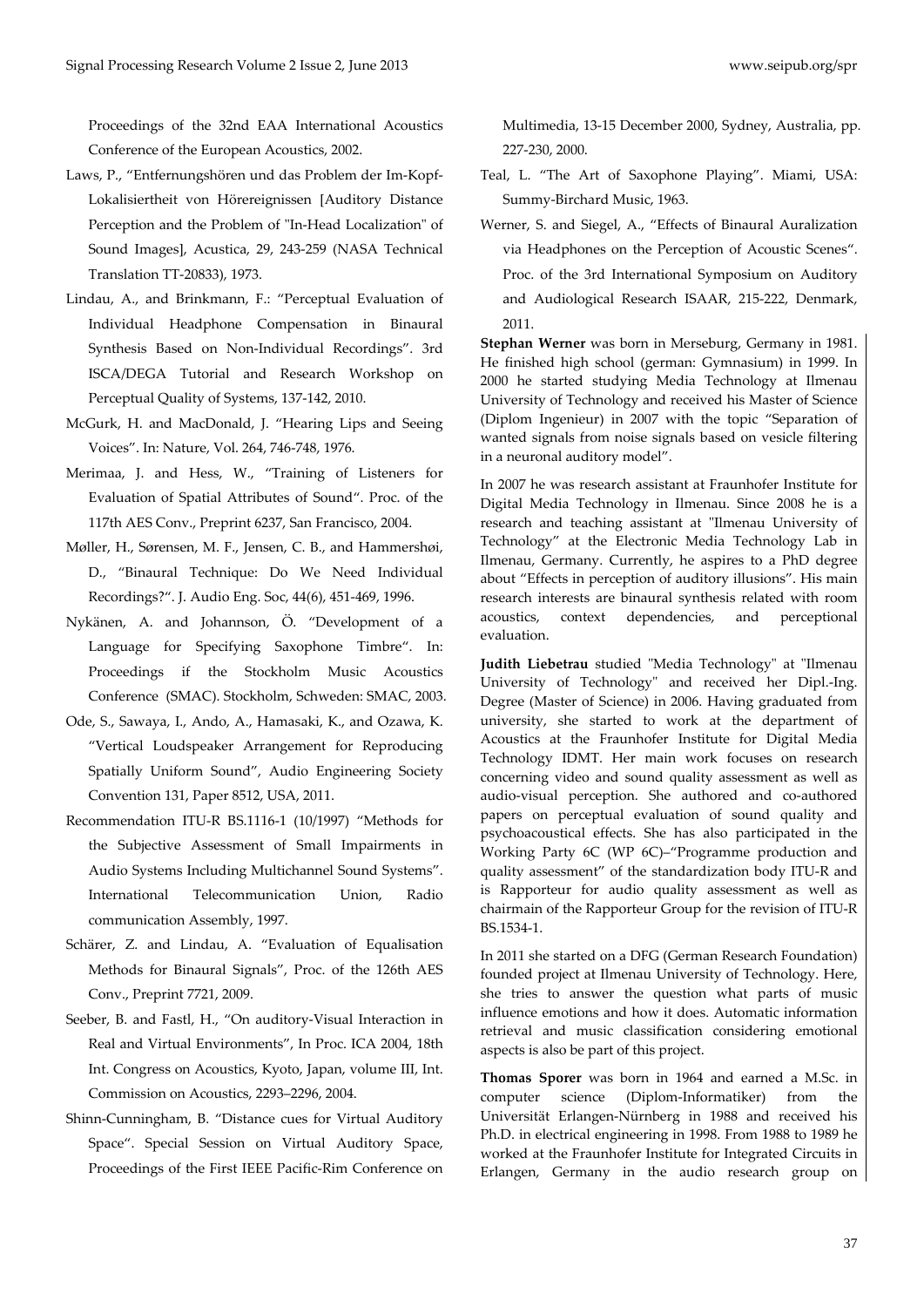Proceedings of the 32nd EAA International Acoustics Conference of the European Acoustics, 2002.

- Laws, P., "Entfernungshören und das Problem der Im‐Kopf‐ Lokalisiertheit von Hörereignissen [Auditory Distance Perception and the Problem of "In-Head Localization" of Sound Images], Acustica, 29, 243‐259 (NASA Technical Translation TT‐20833), 1973.
- Lindau, A., and Brinkmann, F.: "Perceptual Evaluation of Individual Headphone Compensation in Binaural Synthesis Based on Non‐Individual Recordings". 3rd ISCA/DEGA Tutorial and Research Workshop on Perceptual Quality of Systems, 137‐142, 2010.
- McGurk, H. and MacDonald, J. "Hearing Lips and Seeing Voices". In: Nature, Vol. 264, 746‐748, 1976.
- Merimaa, J. and Hess, W., "Training of Listeners for Evaluation of Spatial Attributes of Sound". Proc. of the 117th AES Conv., Preprint 6237, San Francisco, 2004.
- Møller, H., Sørensen, M. F., Jensen, C. B., and Hammershøi, D., "Binaural Technique: Do We Need Individual Recordings?". J. Audio Eng. Soc, 44(6), 451‐469, 1996.
- Nykänen, A. and Johannson, Ö. "Development of a Language for Specifying Saxophone Timbre". In: Proceedings if the Stockholm Music Acoustics Conference (SMAC). Stockholm, Schweden: SMAC, 2003.
- Ode, S., Sawaya, I., Ando, A., Hamasaki, K., and Ozawa, K. "Vertical Loudspeaker Arrangement for Reproducing Spatially Uniform Sound", Audio Engineering Society Convention 131, Paper 8512, USA, 2011.
- Recommendation ITU‐R BS.1116‐1 (10/1997) "Methods for the Subjective Assessment of Small Impairments in Audio Systems Including Multichannel Sound Systems". International Telecommunication Union, Radio communication Assembly, 1997.
- Schärer, Z. and Lindau, A. "Evaluation of Equalisation Methods for Binaural Signals", Proc. of the 126th AES Conv., Preprint 7721, 2009.
- Seeber, B. and Fastl, H., "On auditory‐Visual Interaction in Real and Virtual Environments", In Proc. ICA 2004, 18th Int. Congress on Acoustics, Kyoto, Japan, volume III, Int. Commission on Acoustics, 2293–2296, 2004.
- Shinn‐Cunningham, B. "Distance cues for Virtual Auditory Space". Special Session on Virtual Auditory Space, Proceedings of the First IEEE Pacific‐Rim Conference on

Multimedia, 13‐15 December 2000, Sydney, Australia, pp. 227‐230, 2000.

- Teal, L. "The Art of Saxophone Playing". Miami, USA: Summy‐Birchard Music, 1963.
- Werner, S. and Siegel, A., "Effects of Binaural Auralization via Headphones on the Perception of Acoustic Scenes". Proc. of the 3rd International Symposium on Auditory and Audiological Research ISAAR, 215‐222, Denmark, 2011.

**Stephan Werner** was born in Merseburg, Germany in 1981. He finished high school (german: Gymnasium) in 1999. In 2000 he started studying Media Technology at Ilmenau University of Technology and received his Master of Science (Diplom Ingenieur) in 2007 with the topic "Separation of wanted signals from noise signals based on vesicle filtering in a neuronal auditory model".

In 2007 he was research assistant at Fraunhofer Institute for Digital Media Technology in Ilmenau. Since 2008 he is a research and teaching assistant at "Ilmenau University of Technology" at the Electronic Media Technology Lab in Ilmenau, Germany. Currently, he aspires to a PhD degree about "Effects in perception of auditory illusions". His main research interests are binaural synthesis related with room acoustics, context dependencies, and perceptional evaluation.

**Judith Liebetrau** studied "Media Technology" at "Ilmenau University of Technology" and received her Dipl.-Ing. Degree (Master of Science) in 2006. Having graduated from university, she started to work at the department of Acoustics at the Fraunhofer Institute for Digital Media Technology IDMT. Her main work focuses on research concerning video and sound quality assessment as well as audio‐visual perception. She authored and co‐authored papers on perceptual evaluation of sound quality and psychoacoustical effects. She has also participated in the Working Party 6C (WP 6C)–"Programme production and quality assessment" of the standardization body ITU‐R and is Rapporteur for audio quality assessment as well as chairmain of the Rapporteur Group for the revision of ITU‐R BS.1534‐1.

In 2011 she started on a DFG (German Research Foundation) founded project at Ilmenau University of Technology. Here, she tries to answer the question what parts of music influence emotions and how it does. Automatic information retrieval and music classification considering emotional aspects is also be part of this project.

**Thomas Sporer** was born in 1964 and earned a M.Sc. in computer science (Diplom‐Informatiker) from the Universität Erlangen‐Nürnberg in 1988 and received his Ph.D. in electrical engineering in 1998. From 1988 to 1989 he worked at the Fraunhofer Institute for Integrated Circuits in Erlangen, Germany in the audio research group on